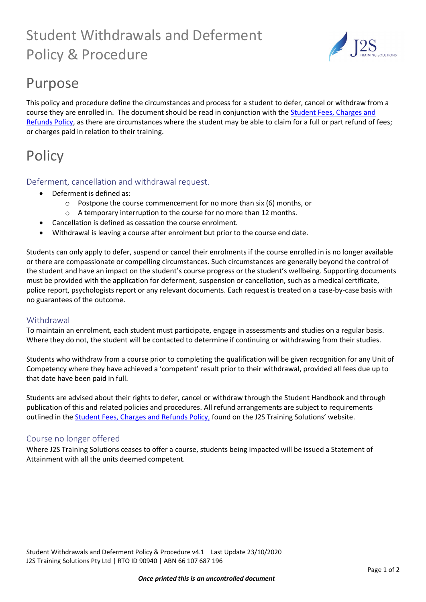# Student Withdrawals and Deferment Policy & Procedure



## Purpose

This policy and procedure define the circumstances and process for a student to defer, cancel or withdraw from a course they are enrolled in. The document should be read in conjunction with the [Student Fees, Charges and](https://2cc4e78e-c485-4b1f-928d-3e093e7325a2.filesusr.com/ugd/e3fe40_61d5423a529440f6aa40d374e433b5e7.pdf)  [Refunds Policy,](https://2cc4e78e-c485-4b1f-928d-3e093e7325a2.filesusr.com/ugd/e3fe40_61d5423a529440f6aa40d374e433b5e7.pdf) as there are circumstances where the student may be able to claim for a full or part refund of fees; or charges paid in relation to their training.

# **Policy**

### Deferment, cancellation and withdrawal request.

- Deferment is defined as:
	- o Postpone the course commencement for no more than six (6) months, or
	- o A temporary interruption to the course for no more than 12 months.
	- Cancellation is defined as cessation the course enrolment.
- Withdrawal is leaving a course after enrolment but prior to the course end date.

Students can only apply to defer, suspend or cancel their enrolments if the course enrolled in is no longer available or there are compassionate or compelling circumstances. Such circumstances are generally beyond the control of the student and have an impact on the student's course progress or the student's wellbeing. Supporting documents must be provided with the application for deferment, suspension or cancellation, such as a medical certificate, police report, psychologists report or any relevant documents. Each request is treated on a case-by-case basis with no guarantees of the outcome.

#### Withdrawal

To maintain an enrolment, each student must participate, engage in assessments and studies on a regular basis. Where they do not, the student will be contacted to determine if continuing or withdrawing from their studies.

Students who withdraw from a course prior to completing the qualification will be given recognition for any Unit of Competency where they have achieved a 'competent' result prior to their withdrawal, provided all fees due up to that date have been paid in full.

Students are advised about their rights to defer, cancel or withdraw through the Student Handbook and through publication of this and related policies and procedures. All refund arrangements are subject to requirements outlined in the [Student Fees, Charges and Refunds Policy,](https://2cc4e78e-c485-4b1f-928d-3e093e7325a2.filesusr.com/ugd/e3fe40_61d5423a529440f6aa40d374e433b5e7.pdf) found on the J2S Training Solutions' website.

### Course no longer offered

Where J2S Training Solutions ceases to offer a course, students being impacted will be issued a Statement of Attainment with all the units deemed competent.